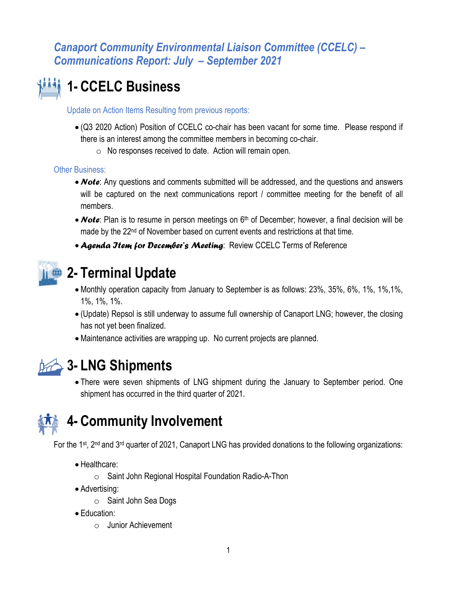# **1- CCELC Business**

Update on Action Items Resulting from previous reports:

- (Q3 2020 Action) Position of CCELC co-chair has been vacant for some time. Please respond if there is an interest among the committee members in becoming co-chair.
	- o No responses received to date. Action will remain open.

**Other Business:** 

- *Note*: Any questions and comments submitted will be addressed, and the questions and answers will be captured on the next communications report / committee meeting for the benefit of all members.
- **Note**: Plan is to resume in person meetings on 6<sup>th</sup> of December; however, a final decision will be made by the 22<sup>nd</sup> of November based on current events and restrictions at that time.
- *Agenda Item for December's Meeting*: Review CCELC Terms of Reference



### **2- Terminal Update**

- Monthly operation capacity from January to September is as follows: 23%, 35%, 6%, 1%, 1%,1%, 1%, 1%, 1%.
- (Update) Repsol is still underway to assume full ownership of Canaport LNG; however, the closing has not yet been finalized.
- Maintenance activities are wrapping up. No current projects are planned.



### **3- LNG Shipments**

 There were seven shipments of LNG shipment during the January to September period. One shipment has occurred in the third quarter of 2021.



## **4- Community Involvement**

For the 1<sup>st</sup>, 2<sup>nd</sup> and 3<sup>rd</sup> quarter of 2021, Canaport LNG has provided donations to the following organizations:

- Healthcare:
	- o Saint John Regional Hospital Foundation Radio-A-Thon
- Advertising:
	- o Saint John Sea Dogs
- Education:
	- o Junior Achievement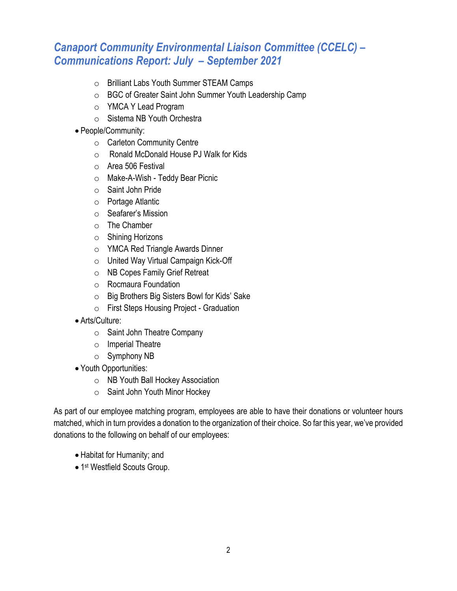- o Brilliant Labs Youth Summer STEAM Camps
- o BGC of Greater Saint John Summer Youth Leadership Camp
- o YMCA Y Lead Program
- o Sistema NB Youth Orchestra
- People/Community:
	- o Carleton Community Centre
	- o Ronald McDonald House PJ Walk for Kids
	- o Area 506 Festival
	- o Make-A-Wish Teddy Bear Picnic
	- o Saint John Pride
	- o Portage Atlantic
	- o Seafarer's Mission
	- o The Chamber
	- o Shining Horizons
	- o YMCA Red Triangle Awards Dinner
	- o United Way Virtual Campaign Kick-Off
	- o NB Copes Family Grief Retreat
	- o Rocmaura Foundation
	- o Big Brothers Big Sisters Bowl for Kids' Sake
	- o First Steps Housing Project Graduation
- Arts/Culture:
	- o Saint John Theatre Company
	- o Imperial Theatre
	- o Symphony NB
- Youth Opportunities:
	- o NB Youth Ball Hockey Association
	- o Saint John Youth Minor Hockey

As part of our employee matching program, employees are able to have their donations or volunteer hours matched, which in turn provides a donation to the organization of their choice. So far this year, we've provided donations to the following on behalf of our employees:

- Habitat for Humanity; and
- 1<sup>st</sup> Westfield Scouts Group.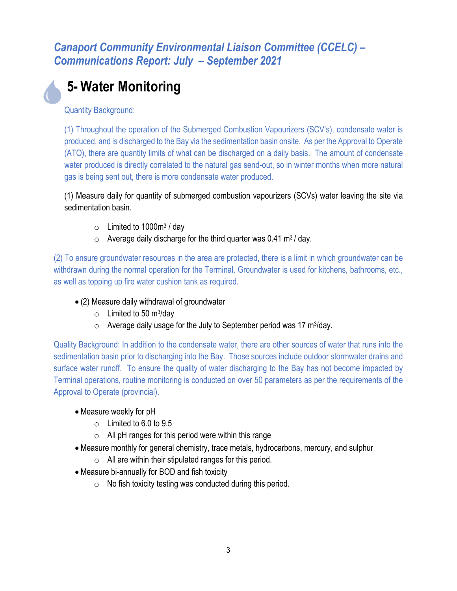# **5- Water Monitoring**

Quantity Background:

(1) Throughout the operation of the Submerged Combustion Vapourizers (SCV's), condensate water is produced, and is discharged to the Bay via the sedimentation basin onsite. As per the Approval to Operate (ATO), there are quantity limits of what can be discharged on a daily basis. The amount of condensate water produced is directly correlated to the natural gas send-out, so in winter months when more natural gas is being sent out, there is more condensate water produced.

(1) Measure daily for quantity of submerged combustion vapourizers (SCVs) water leaving the site via sedimentation basin.

- $\circ$  Limited to 1000m<sup>3</sup> / day
- $\circ$  Average daily discharge for the third quarter was 0.41 m<sup>3</sup>/day.

(2) To ensure groundwater resources in the area are protected, there is a limit in which groundwater can be withdrawn during the normal operation for the Terminal. Groundwater is used for kitchens, bathrooms, etc., as well as topping up fire water cushion tank as required.

- (2) Measure daily withdrawal of groundwater
	- $\circ$  Limited to 50 m<sup>3</sup>/day
	- $\circ$  Average daily usage for the July to September period was 17 m<sup>3</sup>/day.

Quality Background: In addition to the condensate water, there are other sources of water that runs into the sedimentation basin prior to discharging into the Bay. Those sources include outdoor stormwater drains and surface water runoff. To ensure the quality of water discharging to the Bay has not become impacted by Terminal operations, routine monitoring is conducted on over 50 parameters as per the requirements of the Approval to Operate (provincial).

- Measure weekly for pH
	- $\circ$  Limited to 6.0 to 9.5
	- $\circ$  All pH ranges for this period were within this range
- Measure monthly for general chemistry, trace metals, hydrocarbons, mercury, and sulphur
	- $\circ$  All are within their stipulated ranges for this period.
- Measure bi-annually for BOD and fish toxicity
	- $\circ$  No fish toxicity testing was conducted during this period.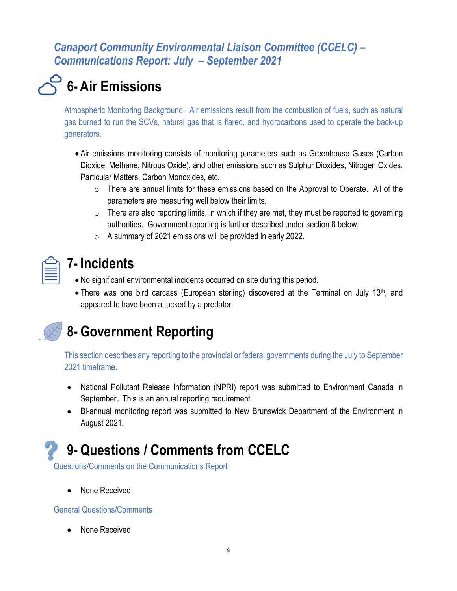# **6- Air Emissions**

Atmospheric Monitoring Background: Air emissions result from the combustion of fuels, such as natural gas burned to run the SCVs, natural gas that is flared, and hydrocarbons used to operate the back-up generators.

- Air emissions monitoring consists of monitoring parameters such as Greenhouse Gases (Carbon Dioxide, Methane, Nitrous Oxide), and other emissions such as Sulphur Dioxides, Nitrogen Oxides, Particular Matters, Carbon Monoxides, etc.
	- $\circ$  There are annual limits for these emissions based on the Approval to Operate. All of the parameters are measuring well below their limits.
	- $\circ$  There are also reporting limits, in which if they are met, they must be reported to governing authorities. Government reporting is further described under section 8 below.
	- $\circ$  A summary of 2021 emissions will be provided in early 2022.

| __<br>= |  |  |
|---------|--|--|
|         |  |  |

### **7- Incidents**

- No significant environmental incidents occurred on site during this period.
- There was one bird carcass (European sterling) discovered at the Terminal on July 13<sup>th</sup>, and appeared to have been attacked by a predator.

## **8- Government Reporting**

This section describes any reporting to the provincial or federal governments during the July to September 2021 timeframe.

- National Pollutant Release Information (NPRI) report was submitted to Environment Canada in September. This is an annual reporting requirement.
- Bi-annual monitoring report was submitted to New Brunswick Department of the Environment in August 2021.

## **9- Questions / Comments from CCELC**

Questions/Comments on the Communications Report

None Received

General Questions/Comments

None Received